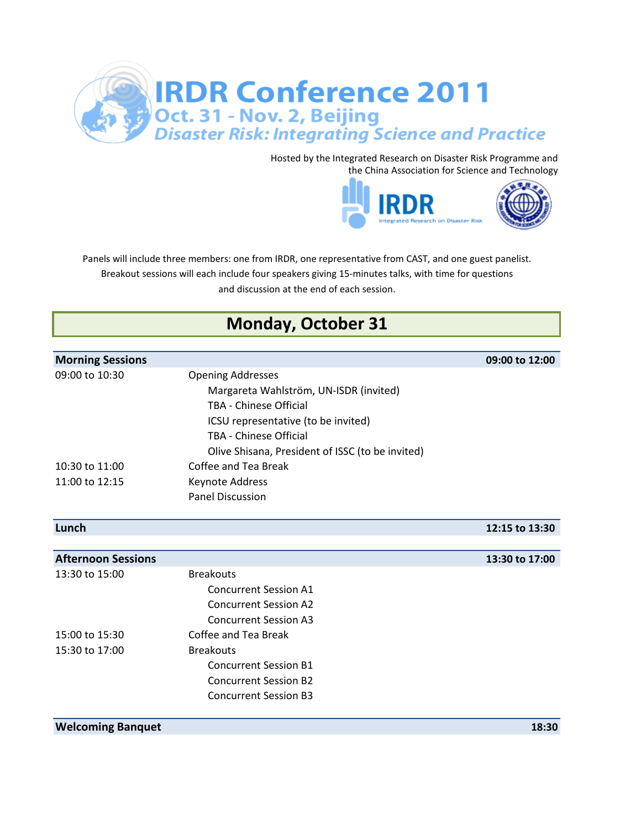

Hosted by the Integrated Research on Disaster Risk Programme and the China Association for Science and Technology



and discussion at the end of each session. Breakout sessions will each include four speakers giving 15-minutes talks, with time for questions Panels will include three members: one from IRDR, one representative from CAST, and one guest panelist.

## **Monday, October 31**

| <b>Morning Sessions</b>   |                                                  | 09:00 to 12:00 |
|---------------------------|--------------------------------------------------|----------------|
| 09:00 to 10:30            | <b>Opening Addresses</b>                         |                |
|                           | Margareta Wahlström, UN-ISDR (invited)           |                |
|                           | <b>TBA - Chinese Official</b>                    |                |
|                           | ICSU representative (to be invited)              |                |
|                           | TBA - Chinese Official                           |                |
|                           | Olive Shisana, President of ISSC (to be invited) |                |
| 10:30 to 11:00            | Coffee and Tea Break                             |                |
| 11:00 to 12:15            | Keynote Address                                  |                |
|                           | <b>Panel Discussion</b>                          |                |
|                           |                                                  |                |
| Lunch                     |                                                  | 12:15 to 13:30 |
|                           |                                                  |                |
| <b>Afternoon Sessions</b> |                                                  | 13:30 to 17:00 |
| 13:30 to 15:00            | <b>Breakouts</b>                                 |                |
|                           | <b>Concurrent Session A1</b>                     |                |
|                           | <b>Concurrent Session A2</b>                     |                |
|                           | <b>Concurrent Session A3</b>                     |                |
| 15:00 to 15:30            | Coffee and Tea Break                             |                |
| 15:30 to 17:00            | <b>Breakouts</b>                                 |                |
|                           | <b>Concurrent Session B1</b>                     |                |
|                           | <b>Concurrent Session B2</b>                     |                |
|                           | Concurrent Session B3                            |                |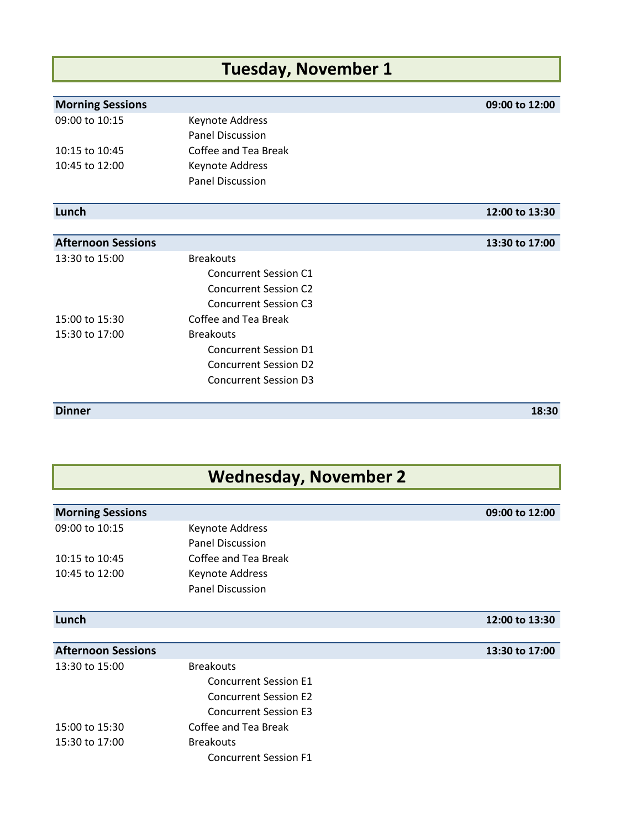## **Tuesday, November 1**

| <b>Morning Sessions</b>   |                              | 09:00 to 12:00 |
|---------------------------|------------------------------|----------------|
| 09:00 to 10:15            | Keynote Address              |                |
|                           | <b>Panel Discussion</b>      |                |
| 10:15 to 10:45            | Coffee and Tea Break         |                |
| 10:45 to 12:00            | Keynote Address              |                |
|                           | <b>Panel Discussion</b>      |                |
| Lunch                     |                              | 12:00 to 13:30 |
|                           |                              |                |
| <b>Afternoon Sessions</b> |                              | 13:30 to 17:00 |
| 13:30 to 15:00            | <b>Breakouts</b>             |                |
|                           | <b>Concurrent Session C1</b> |                |
|                           | <b>Concurrent Session C2</b> |                |
|                           | <b>Concurrent Session C3</b> |                |
| 15:00 to 15:30            | Coffee and Tea Break         |                |
| 15:30 to 17:00            | <b>Breakouts</b>             |                |
|                           | <b>Concurrent Session D1</b> |                |
|                           | <b>Concurrent Session D2</b> |                |
|                           | <b>Concurrent Session D3</b> |                |

**Dinner 18:30**

## **Wednesday, November 2**

| <b>Morning Sessions</b>   |                              | 09:00 to 12:00 |
|---------------------------|------------------------------|----------------|
| 09:00 to 10:15            | Keynote Address              |                |
|                           | <b>Panel Discussion</b>      |                |
| 10:15 to 10:45            | Coffee and Tea Break         |                |
| 10:45 to 12:00            | Keynote Address              |                |
|                           | <b>Panel Discussion</b>      |                |
|                           |                              |                |
| Lunch                     |                              | 12:00 to 13:30 |
|                           |                              |                |
| <b>Afternoon Sessions</b> |                              | 13:30 to 17:00 |
| 13:30 to 15:00            | <b>Breakouts</b>             |                |
|                           | <b>Concurrent Session E1</b> |                |
|                           | <b>Concurrent Session E2</b> |                |
|                           | <b>Concurrent Session E3</b> |                |

15:00 to 15:30 Coffee and Tea Break 15:30 to 17:00 Breakouts Concurrent Session F1